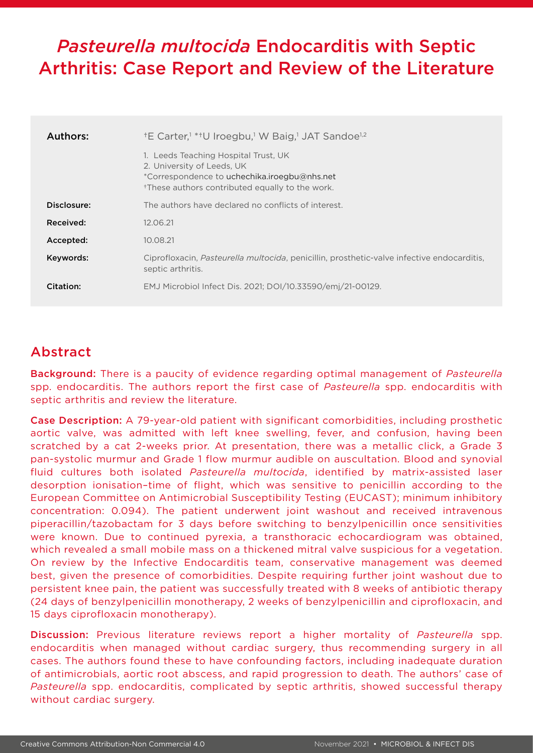# *Pasteurella multocida* Endocarditis with Septic Arthritis: Case Report and Review of the Literature

| Authors:    | <sup>+</sup> E Carter, <sup>1</sup> * <sup>+</sup> U Iroegbu, <sup>1</sup> W Baig, <sup>1</sup> JAT Sandoe <sup>1,2</sup>                                                         |
|-------------|-----------------------------------------------------------------------------------------------------------------------------------------------------------------------------------|
|             | 1. Leeds Teaching Hospital Trust, UK<br>2. University of Leeds, UK<br>*Correspondence to uchechika.iroegbu@nhs.net<br><sup>†</sup> These authors contributed equally to the work. |
| Disclosure: | The authors have declared no conflicts of interest.                                                                                                                               |
| Received:   | 12.06.21                                                                                                                                                                          |
| Accepted:   | 10.08.21                                                                                                                                                                          |
| Keywords:   | Ciprofloxacin, <i>Pasteurella multocida</i> , penicillin, prosthetic-valve infective endocarditis,<br>septic arthritis.                                                           |
| Citation:   | EMJ Microbiol Infect Dis. 2021; DOI/10.33590/emj/21-00129.                                                                                                                        |

## Abstract

Background: There is a paucity of evidence regarding optimal management of *Pasteurella* spp. endocarditis. The authors report the first case of *Pasteurella* spp. endocarditis with septic arthritis and review the literature.

Case Description: A 79-year-old patient with significant comorbidities, including prosthetic aortic valve, was admitted with left knee swelling, fever, and confusion, having been scratched by a cat 2-weeks prior. At presentation, there was a metallic click, a Grade 3 pan-systolic murmur and Grade 1 flow murmur audible on auscultation. Blood and synovial fluid cultures both isolated *Pasteurella multocida*, identified by matrix-assisted laser desorption ionisation–time of flight, which was sensitive to penicillin according to the European Committee on Antimicrobial Susceptibility Testing (EUCAST); minimum inhibitory concentration: 0.094). The patient underwent joint washout and received intravenous piperacillin/tazobactam for 3 days before switching to benzylpenicillin once sensitivities were known. Due to continued pyrexia, a transthoracic echocardiogram was obtained, which revealed a small mobile mass on a thickened mitral valve suspicious for a vegetation. On review by the Infective Endocarditis team, conservative management was deemed best, given the presence of comorbidities. Despite requiring further joint washout due to persistent knee pain, the patient was successfully treated with 8 weeks of antibiotic therapy (24 days of benzylpenicillin monotherapy, 2 weeks of benzylpenicillin and ciprofloxacin, and 15 days ciprofloxacin monotherapy).

Discussion: Previous literature reviews report a higher mortality of *Pasteurella* spp. endocarditis when managed without cardiac surgery, thus recommending surgery in all cases. The authors found these to have confounding factors, including inadequate duration of antimicrobials, aortic root abscess, and rapid progression to death. The authors' case of *Pasteurella* spp. endocarditis, complicated by septic arthritis, showed successful therapy without cardiac surgery.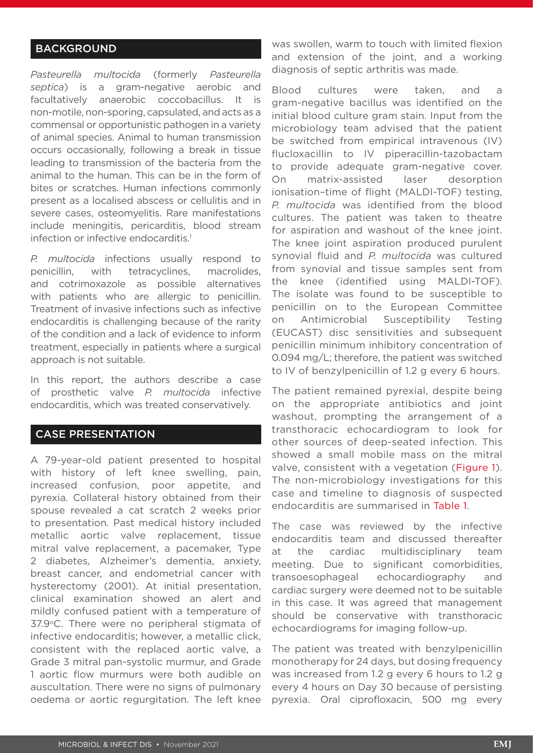### **BACKGROUND**

*Pasteurella multocida* (formerly *Pasteurella septica*) is a gram-negative aerobic and facultatively anaerobic coccobacillus. It is non-motile, non-sporing, capsulated, and acts as a commensal or opportunistic pathogen in a variety of animal species. Animal to human transmission occurs occasionally, following a break in tissue leading to transmission of the bacteria from the animal to the human. This can be in the form of bites or scratches. Human infections commonly present as a localised abscess or cellulitis and in severe cases, osteomyelitis. Rare manifestations include meningitis, pericarditis, blood stream infection or infective endocarditis.<sup>1</sup>

*P. multocida* infections usually respond to penicillin, with tetracyclines, macrolides, and cotrimoxazole as possible alternatives with patients who are allergic to penicillin. Treatment of invasive infections such as infective endocarditis is challenging because of the rarity of the condition and a lack of evidence to inform treatment, especially in patients where a surgical approach is not suitable.

In this report, the authors describe a case of prosthetic valve *P. multocida* infective endocarditis, which was treated conservatively.

#### CASE PRESENTATION

A 79-year-old patient presented to hospital with history of left knee swelling, pain, increased confusion, poor appetite, and pyrexia. Collateral history obtained from their spouse revealed a cat scratch 2 weeks prior to presentation. Past medical history included metallic aortic valve replacement, tissue mitral valve replacement, a pacemaker, Type 2 diabetes, Alzheimer's dementia, anxiety, breast cancer, and endometrial cancer with hysterectomy (2001). At initial presentation, clinical examination showed an alert and mildly confused patient with a temperature of 37.9°C. There were no peripheral stigmata of infective endocarditis; however, a metallic click, consistent with the replaced aortic valve, a Grade 3 mitral pan-systolic murmur, and Grade 1 aortic flow murmurs were both audible on auscultation. There were no signs of pulmonary oedema or aortic regurgitation. The left knee

was swollen, warm to touch with limited flexion and extension of the joint, and a working diagnosis of septic arthritis was made.

Blood cultures were taken, and a gram-negative bacillus was identified on the initial blood culture gram stain. Input from the microbiology team advised that the patient be switched from empirical intravenous (IV) flucloxacillin to IV piperacillin-tazobactam to provide adequate gram-negative cover. On matrix-assisted laser desorption ionisation–time of flight (MALDI-TOF) testing, *P. multocida* was identified from the blood cultures. The patient was taken to theatre for aspiration and washout of the knee joint. The knee joint aspiration produced purulent synovial fluid and *P. multocida* was cultured from synovial and tissue samples sent from the knee (identified using MALDI-TOF). The isolate was found to be susceptible to penicillin on to the European Committee on Antimicrobial Susceptibility Testing (EUCAST) disc sensitivities and subsequent penicillin minimum inhibitory concentration of 0.094 mg/L; therefore, the patient was switched to IV of benzylpenicillin of 1.2 g every 6 hours.

The patient remained pyrexial, despite being on the appropriate antibiotics and joint washout, prompting the arrangement of a transthoracic echocardiogram to look for other sources of deep-seated infection. This showed a small mobile mass on the mitral valve, consistent with a vegetation (Figure 1). The non-microbiology investigations for this case and timeline to diagnosis of suspected endocarditis are summarised in Table 1.

The case was reviewed by the infective endocarditis team and discussed thereafter at the cardiac multidisciplinary team meeting. Due to significant comorbidities, transoesophageal echocardiography and cardiac surgery were deemed not to be suitable in this case. It was agreed that management should be conservative with transthoracic echocardiograms for imaging follow-up.

The patient was treated with benzylpenicillin monotherapy for 24 days, but dosing frequency was increased from 1.2 g every 6 hours to 1.2 g every 4 hours on Day 30 because of persisting pyrexia. Oral ciprofloxacin, 500 mg every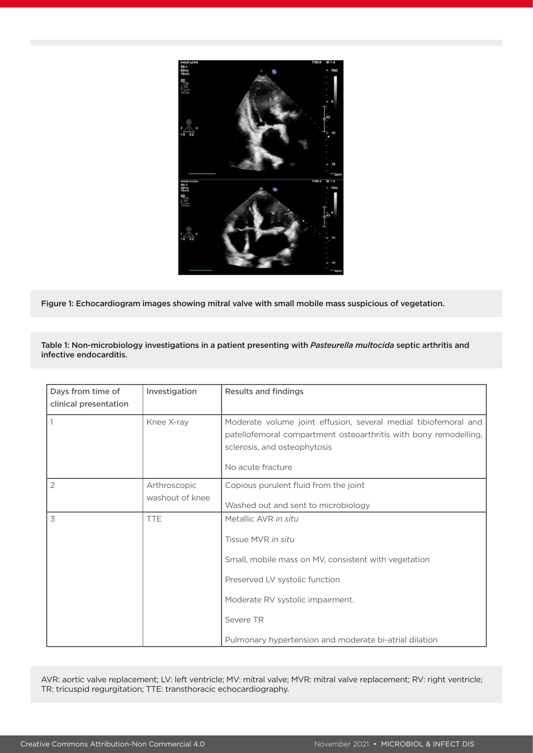

Figure 1: Echocardiogram images showing mitral valve with small mobile mass suspicious of vegetation.

Table 1: Non-microbiology investigations in a patient presenting with *Pasteurella multocida* septic arthritis and infective endocarditis.

| Days from time of<br>clinical presentation | Investigation                   | <b>Results and findings</b>                                                                                                                                                                                                                     |
|--------------------------------------------|---------------------------------|-------------------------------------------------------------------------------------------------------------------------------------------------------------------------------------------------------------------------------------------------|
|                                            | Knee X-ray                      | Moderate volume joint effusion, several medial tibiofemoral and<br>patellofemoral compartment osteoarthritis with bony remodelling,<br>sclerosis, and osteophytosis<br>No acute fracture                                                        |
| 2                                          | Arthroscopic<br>washout of knee | Copious purulent fluid from the joint<br>Washed out and sent to microbiology                                                                                                                                                                    |
| 3                                          | <b>TTE</b>                      | Metallic AVR in situ<br>Tissue MVR in situ<br>Small, mobile mass on MV, consistent with vegetation<br>Preserved LV systolic function<br>Moderate RV systolic impairment.<br>Severe TR<br>Pulmonary hypertension and moderate bi-atrial dilation |

AVR: aortic valve replacement; LV: left ventricle; MV: mitral valve; MVR: mitral valve replacement; RV: right ventricle; TR: tricuspid regurgitation; TTE: transthoracic echocardiography.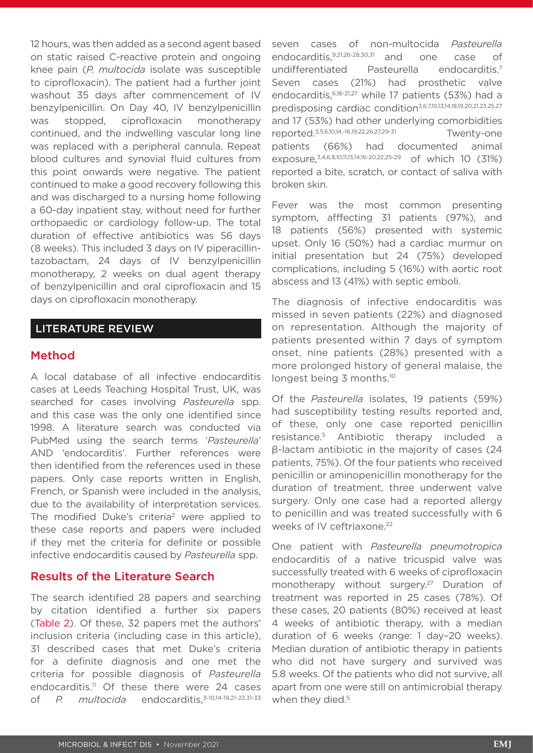12 hours, was then added as a second agent based on static raised C-reactive protein and ongoing knee pain (*P. multocida* isolate was susceptible to ciprofloxacin). The patient had a further joint washout 35 days after commencement of IV benzylpenicillin. On Day 40, IV benzylpenicillin was stopped, ciprofloxacin monotherapy continued, and the indwelling vascular long line was replaced with a peripheral cannula. Repeat blood cultures and synovial fluid cultures from this point onwards were negative. The patient continued to make a good recovery following this and was discharged to a nursing home following a 60-day inpatient stay, without need for further orthopaedic or cardiology follow-up. The total duration of effective antibiotics was 56 days (8 weeks). This included 3 days on IV piperacillintazobactam, 24 days of IV benzylpenicillin monotherapy, 2 weeks on dual agent therapy of benzylpenicillin and oral ciprofloxacin and 15 days on ciprofloxacin monotherapy.

#### LITERATURE REVIEW

#### Method

A local database of all infective endocarditis cases at Leeds Teaching Hospital Trust, UK, was searched for cases involving *Pasteurella* spp. and this case was the only one identified since 1998. A literature search was conducted via PubMed using the search terms '*Pasteurella*' AND 'endocarditis'. Further references were then identified from the references used in these papers. Only case reports written in English, French, or Spanish were included in the analysis, due to the availability of interpretation services. The modified Duke's criteria<sup>2</sup> were applied to these case reports and papers were included if they met the criteria for definite or possible infective endocarditis caused by *Pasteurella* spp.

#### Results of the Literature Search

The search identified 28 papers and searching by citation identified a further six papers (Table 2). Of these, 32 papers met the authors' inclusion criteria (including case in this article), 31 described cases that met Duke's criteria for a definite diagnosis and one met the criteria for possible diagnosis of *Pasteurella* endocarditis.<sup>11</sup> Of these there were 24 cases of *P. multocida* endocarditis,<sup>3-10,14-19,21-23,31-33</sup>

seven cases of non-multocida *Pasteurella* endocarditis,9,21,26-28,30,31 and one case of undifferentiated Pasteurella endocarditis.7 Seven cases (21%) had prosthetic valve endocarditis,6,18-21,27 while 17 patients (53%) had a predisposing cardiac condition3,6,7,10,13,14,18,19,20,21,23,25,27 and 17 (53%) had other underlying comorbidities reported.3,5,6,10,14,-16,19,22,26,27,29-31 Twenty-one patients (66%) had documented animal exposure,3,4,6,8,10,11,13,14,16-20,22,25-29 of which 10 (31%) reported a bite, scratch, or contact of saliva with broken skin.

Fever was the most common presenting symptom, afffecting 31 patients (97%), and 18 patients (56%) presented with systemic upset. Only 16 (50%) had a cardiac murmur on initial presentation but 24 (75%) developed complications, including 5 (16%) with aortic root abscess and 13 (41%) with septic emboli.

The diagnosis of infective endocarditis was missed in seven patients (22%) and diagnosed on representation. Although the majority of patients presented within 7 days of symptom onset, nine patients (28%) presented with a more prolonged history of general malaise, the longest being 3 months.<sup>10</sup>

Of the *Pasteurella* isolates, 19 patients (59%) had susceptibility testing results reported and, of these, only one case reported penicillin resistance.5 Antibiotic therapy included a β-lactam antibiotic in the majority of cases (24 patients, 75%). Of the four patients who received penicillin or aminopenicillin monotherapy for the duration of treatment, three underwent valve surgery. Only one case had a reported allergy to penicillin and was treated successfully with 6 weeks of IV ceftriaxone.<sup>22</sup>

One patient with *Pasteurella pneumotropica*  endocarditis of a native tricuspid valve was successfully treated with 6 weeks of ciprofloxacin monotherapy without surgery.<sup>27</sup> Duration of treatment was reported in 25 cases (78%). Of these cases, 20 patients (80%) received at least 4 weeks of antibiotic therapy, with a median duration of 6 weeks (range: 1 day–20 weeks). Median duration of antibiotic therapy in patients who did not have surgery and survived was 5.8 weeks. Of the patients who did not survive, all apart from one were still on antimicrobial therapy when they died.<sup>5</sup>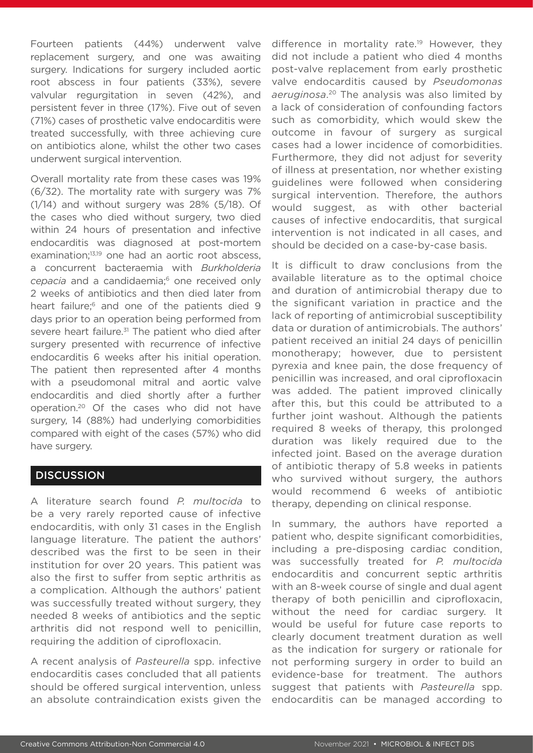Fourteen patients (44%) underwent valve replacement surgery, and one was awaiting surgery. Indications for surgery included aortic root abscess in four patients (33%), severe valvular regurgitation in seven (42%), and persistent fever in three (17%). Five out of seven (71%) cases of prosthetic valve endocarditis were treated successfully, with three achieving cure on antibiotics alone, whilst the other two cases underwent surgical intervention.

Overall mortality rate from these cases was 19% (6/32). The mortality rate with surgery was 7% (1/14) and without surgery was 28% (5/18). Of the cases who died without surgery, two died within 24 hours of presentation and infective endocarditis was diagnosed at post-mortem examination;<sup>13,19</sup> one had an aortic root abscess, a concurrent bacteraemia with *Burkholderia*  cepacia and a candidaemia;<sup>6</sup> one received only 2 weeks of antibiotics and then died later from heart failure;<sup>6</sup> and one of the patients died 9 days prior to an operation being performed from severe heart failure.<sup>31</sup> The patient who died after surgery presented with recurrence of infective endocarditis 6 weeks after his initial operation. The patient then represented after 4 months with a pseudomonal mitral and aortic valve endocarditis and died shortly after a further operation.20 Of the cases who did not have surgery, 14 (88%) had underlying comorbidities compared with eight of the cases (57%) who did have surgery.

### **DISCUSSION**

A literature search found *P. multocida* to be a very rarely reported cause of infective endocarditis, with only 31 cases in the English language literature. The patient the authors' described was the first to be seen in their institution for over 20 years. This patient was also the first to suffer from septic arthritis as a complication. Although the authors' patient was successfully treated without surgery, they needed 8 weeks of antibiotics and the septic arthritis did not respond well to penicillin, requiring the addition of ciprofloxacin.

A recent analysis of *Pasteurella* spp. infective endocarditis cases concluded that all patients should be offered surgical intervention, unless an absolute contraindication exists given the difference in mortality rate.<sup>19</sup> However, they did not include a patient who died 4 months post-valve replacement from early prosthetic valve endocarditis caused by *Pseudomonas aeruginosa*. 20 The analysis was also limited by a lack of consideration of confounding factors such as comorbidity, which would skew the outcome in favour of surgery as surgical cases had a lower incidence of comorbidities. Furthermore, they did not adjust for severity of illness at presentation, nor whether existing guidelines were followed when considering surgical intervention. Therefore, the authors would suggest, as with other bacterial causes of infective endocarditis, that surgical intervention is not indicated in all cases, and should be decided on a case-by-case basis.

It is difficult to draw conclusions from the available literature as to the optimal choice and duration of antimicrobial therapy due to the significant variation in practice and the lack of reporting of antimicrobial susceptibility data or duration of antimicrobials. The authors' patient received an initial 24 days of penicillin monotherapy; however, due to persistent pyrexia and knee pain, the dose frequency of penicillin was increased, and oral ciprofloxacin was added. The patient improved clinically after this, but this could be attributed to a further joint washout. Although the patients required 8 weeks of therapy, this prolonged duration was likely required due to the infected joint. Based on the average duration of antibiotic therapy of 5.8 weeks in patients who survived without surgery, the authors would recommend 6 weeks of antibiotic therapy, depending on clinical response.

In summary, the authors have reported a patient who, despite significant comorbidities, including a pre-disposing cardiac condition, was successfully treated for *P. multocida*  endocarditis and concurrent septic arthritis with an 8-week course of single and dual agent therapy of both penicillin and ciprofloxacin, without the need for cardiac surgery. It would be useful for future case reports to clearly document treatment duration as well as the indication for surgery or rationale for not performing surgery in order to build an evidence-base for treatment. The authors suggest that patients with *Pasteurella* spp. endocarditis can be managed according to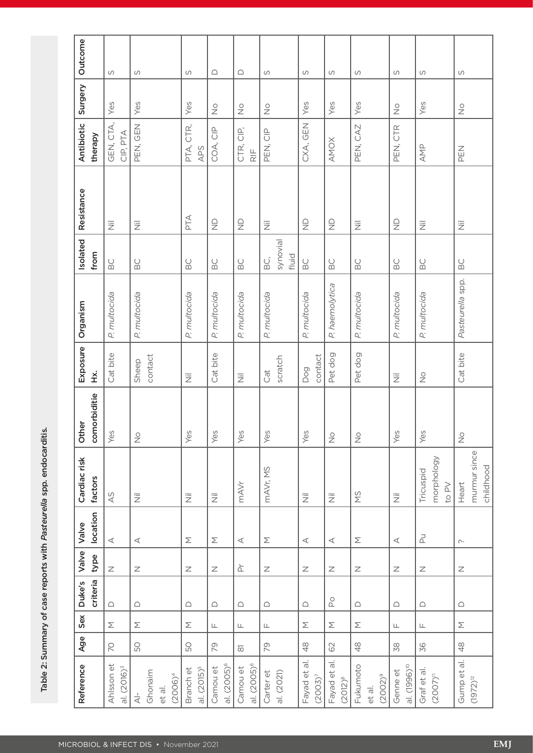Table 2: Summary of case reports with Pasteurella spp. endocarditis. Table 2: Summary of case reports with *Pasteurella* spp. endocarditis.

| Reference                                                | Age                         | Sex                    | criteria<br>Duke's        | Valve<br>type                                                                         | location<br>Valve    | Cardiac risk<br>factors            | comorbiditie<br>Other    | Exposure<br>Χ.             | Organism         | Isolated<br>from                       | Resistance                | Antibiotic<br>therapy      | Surgery                    | Outcome   |
|----------------------------------------------------------|-----------------------------|------------------------|---------------------------|---------------------------------------------------------------------------------------|----------------------|------------------------------------|--------------------------|----------------------------|------------------|----------------------------------------|---------------------------|----------------------------|----------------------------|-----------|
| Ahlsson et<br>al. (2016) <sup>3</sup>                    | $\overline{C}$              | $\sum$                 | $\bigcirc$                | $\mathord{\text{\rm Z}}$                                                              | $\prec$              | 45                                 | Yes                      | Cat bite                   | P. multocida     | $\mathsf{B}\mathsf{C}$                 | $\overline{\overline{z}}$ | GEN, CTA,<br>CIP, PTA      | Yes                        | S         |
| Ghonaim<br>$(2006)^4$<br>et al.<br>$\stackrel{-}{\prec}$ | 50                          | Σ                      | $\bigcirc$                | $\mathbb Z$                                                                           | $\prec$              | $\overline{\overline{z}}$          | $\frac{\circ}{\sim}$     | contact<br>Sheep           | P. multocida     | $\begin{array}{c} \square \end{array}$ | $\overline{\overline{z}}$ | PEN, GEN                   | Yes                        | S         |
| al. (2015) <sup>5</sup><br>Branch et                     | 50                          | Σ                      | $\bigcap$                 | $\mathbb Z$                                                                           | Σ                    | $\overline{\overline{z}}$          | Yes                      | 三                          | P. multocida     | BC                                     | РTА                       | PTA, CTR,<br>APS           | Yes                        | S         |
| al. (2005) <sup>6</sup><br>Camou et                      | 79                          | $\sqcup$               | $\bigcirc$                | $\mathbb Z$                                                                           | $\sum$               | $\overline{\overline{z}}$          | Yes                      | Cat bite                   | P. multocida     | $\mathsf{B}\mathsf{C}$                 | $\frac{0}{Z}$             | COA, CIP                   | $\frac{\circ}{\mathbb{Z}}$ | $\bigcap$ |
| al. (2005) <sup>6</sup><br>Camou et                      | $\overline{\infty}$         | $\sqcup$               | $\bigcirc$                | $\stackrel{\leftarrow}{\triangle}$                                                    | $\prec$              | mAVr                               | Yes                      | 运                          | P. multocida     | $\mathsf{B}\mathsf{C}$                 | $\frac{\Omega}{Z}$        | CTR, CIP,<br>$\mathsf{RF}$ | $\frac{\circ}{\mathbb{Z}}$ | $\bigcap$ |
| Carter et<br>al. (2021)                                  | 79                          | $\mathsf{L}\mathsf{L}$ | $\bigcirc$                | $\mathsf{Z}% _{T}=\mathsf{Z}_{T}\!\left( a,b\right) ,\ \mathsf{Z}_{T}=\mathsf{Z}_{T}$ | $\sum$               | mAVr, MS                           | Yes                      | scratch<br>Cat             | P. multocida     | synovial<br>fluid<br>BC,               | $\overline{\overline{z}}$ | PEN, CIP                   | $\stackrel{\circ}{\geq}$   | S         |
| Fayad et al.<br>$(2003)^{7}$                             | $\frac{8}{4}$               | $\boldsymbol{\Sigma}$  | $\bigcap$                 | $\mathbb Z$                                                                           | $\prec$              | $\overline{\overline{z}}$          | Yes                      | contact<br>Dog             | P. multocida     | $_{\rm BC}$                            | $\frac{\Omega}{Z}$        | CXA, GEN                   | Yes                        | S         |
| Fayad et al.<br>$(2012)^{8}$                             | 62                          | $\sum$                 | $\mathrm{S}_{\mathrm{O}}$ | $\mathbb Z$                                                                           | $\prec$              | $\overline{\overline{z}}$          | $\stackrel{\circ}{\geq}$ | Pet dog                    | P. haemolytica   | BC                                     | $\frac{\Omega}{Z}$        | <b>AMOX</b>                | Yes                        | S         |
| Fukumoto<br>$(2002)^9$<br>et al.                         | $\frac{8}{4}$               | $\sum$                 | $\bigcirc$                | $\mathbb Z$                                                                           | $\sum$               | ΣN                                 | $\frac{\circ}{\sim}$     | Pet dog                    | P. multocida     | BC                                     | $\overline{\overline{z}}$ | PEN, CAZ                   | Yes                        | S         |
| al. (1996) <sup>10</sup><br>Genne et                     | $\mathcal{S}^{\mathcal{S}}$ | $\sqcup$               | $\bigcirc$                | $\mathbb Z$                                                                           | $\prec$              | $\overline{\overline{z}}$          | Yes                      | 三                          | P. multocida     | $\mathsf{B}\mathsf{C}$                 | $\frac{\Omega}{Z}$        | PEN, CTR                   | $\frac{\circ}{\mathbb{Z}}$ | S         |
| Graf et al.<br>$(2007)^{11}$                             | 36                          | $\sqcup$               | $\bigcirc$                | $\mathord{\text{\bf Z}}$                                                              | 군                    | morphology<br>Tricuspid<br>to $PV$ | Yes                      | $\frac{\circ}{\mathbb{Z}}$ | P. multocida     | $_{\odot}$                             | $\overline{\overline{z}}$ | AMP                        | Yes                        | S         |
| Gump et al.<br>$(1972)^{12}$                             | $48$                        | $\sum$                 | $\bigcap$                 | $\mathbb Z$                                                                           | $\curvearrowright$ . | murmur since<br>childhood<br>Heart | $\frac{\circ}{\sim}$     | Cat bite                   | Pasteurella spp. | $\overline{B}$ C                       | Ξ                         | PEN                        | $\stackrel{\circ}{\geq}$   | S         |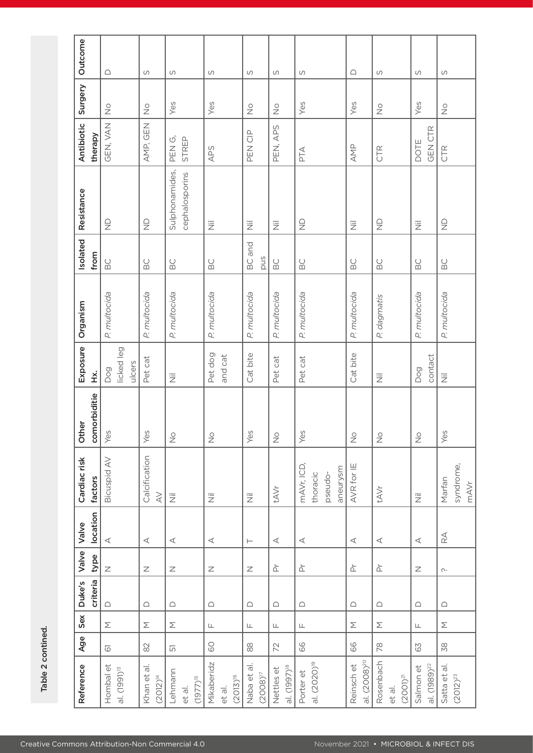|   | ׇׇ֠֕֡<br>֦ |
|---|------------|
|   |            |
|   |            |
|   |            |
|   | ֕          |
|   |            |
| C | l          |
|   |            |
|   |            |
|   | ı          |
|   |            |

| Outcome                         | $\bigcap$                              | S                            | S                                  | S                                     | S                            | S                                      | S                                             | $\bigcap$                              | S                                             | S                                      | S                               |
|---------------------------------|----------------------------------------|------------------------------|------------------------------------|---------------------------------------|------------------------------|----------------------------------------|-----------------------------------------------|----------------------------------------|-----------------------------------------------|----------------------------------------|---------------------------------|
| Surgery                         | $\stackrel{\circ}{\geq}$               | $\frac{\circ}{\mathbb{Z}}$   | Yes                                | Yes                                   | $\stackrel{\circ}{\geq}$     | $\stackrel{\circ}{\geq}$               | Yes                                           | Yes                                    | $\stackrel{\circ}{\geq}$                      | Yes                                    | $\stackrel{\circ}{\geq}$        |
| Antibiotic<br>therapy           | GEN, VAN                               | AMP, GEN                     | STREP<br>PEN G,                    | APS                                   | PEN CIP                      | PEN, APS                               | PTA                                           | AMP                                    | CTR                                           | <b>GEN CTR</b><br>DOTE                 | CTR                             |
| Resistance                      | $\frac{\Omega}{Z}$                     | $\frac{\Omega}{Z}$           | Sulphonamides,<br>cephalosporins   | $\overline{\overline{z}}$             | $\overline{\overline{z}}$    | 三                                      | $\frac{\Omega}{Z}$                            | $\overline{\overline{z}}$              | $\frac{\bigcirc}{\bigcirc}$                   | $\overline{\overline{z}}$              | $\frac{\Omega}{Z}$              |
| Isolated<br>from                | $\begin{array}{c} \square \end{array}$ | BC                           | BC                                 | $_{\rm BC}$                           | <b>BC</b> and<br>Snd         | $_{\odot}^{\circ}$                     | $_{\odot}^{\circ}$                            | BC                                     | BC                                            | $\begin{array}{c} \square \end{array}$ | $_{\rm BC}$                     |
| Organism                        | P. multocida                           | P. multocida                 | P. multocida                       | P. multocida                          | P. multocida                 | P. multocida                           | P. multocida                                  | P. multocida                           | P. dagmatis                                   | P. multocida                           | P. multocida                    |
| Exposure<br>$\frac{\dot{x}}{1}$ | licked leg<br>ulcers<br>Dog            | Pet cat                      | $\overline{\overline{z}}$          | Pet dog<br>and cat                    | Cat bite                     | Pet cat                                | Pet cat                                       | Cat bite                               | 三                                             | contact<br>Dog                         | $\overline{\overline{z}}$       |
| comorbiditie<br>Other           | Yes                                    | Yes                          | $\frac{1}{2}$                      | $\frac{1}{2}$                         | Yes                          | $\frac{1}{2}$                          | Yes                                           | $\frac{1}{2}$                          | $\frac{1}{2}$                                 | $\frac{1}{2}$                          | Yes                             |
| Cardiac risk<br>factors         | <b>Bicuspid AV</b>                     | Calcification<br>$\gtrless$  | $\overline{\overline{z}}$          | $\overline{\overline{z}}$             | $\overline{\overline{z}}$    | tAVr                                   | mAVr, ICD,<br>aneurysm<br>thoracic<br>pseudo- | AVR for IE                             | tAVr                                          | $\overline{\overline{z}}$              | syndrome,<br>Marfan<br>mAVr     |
| location<br>Valve               | $\prec$                                | $\triangleleft$              | $\prec$                            | $\triangleleft$                       | $\vdash$                     | $\prec$                                | $\prec$                                       | $\prec$                                | $\prec$                                       | $\prec$                                | $\stackrel{\triangle}{\approx}$ |
| Valve<br>type                   | $\mathbb Z$                            | $\mathbb Z$                  | $\mathbb Z$                        | $\mathbb Z$                           | $\mathbb Z$                  | $\overleftarrow{\underline{\cap}}$     | $\stackrel{\leftarrow}{\triangle}$            | $\overleftarrow{\underline{\cap}}$     | $\overset{\leftharpoonup }{\mathbb{\Omega }}$ | $\mathbb Z$                            | $\sim$                          |
| criteria<br>Duke's              | $\bigcirc$                             | $\bigcap$                    | $\bigcirc$                         | $\bigcirc$                            | $\bigcirc$                   | $\bigcirc$                             | $\bigcap$                                     | $\bigcap$                              | $\bigcirc$                                    | $\bigcirc$                             | $\bigcirc$                      |
| Sex                             | $\sum$                                 | $\sum$                       | Σ                                  | $\sqcup$                              | $\sqcup$                     | $\sqcup$                               | Щ                                             | $\boldsymbol{\Sigma}$                  | Σ                                             | Щ                                      | $\sum$                          |
| Age                             | $\overline{\textbf{G}}$                | $\approx$                    | 51                                 | <b>CO</b>                             | $_{\infty}^{\infty}$         | 72                                     | 66                                            | 66                                     | 78                                            | 63                                     | 38                              |
| Reference                       | Hombal et<br>al. (1991) <sup>13</sup>  | Khan et al.<br>$(2012)^{14}$ | Lehmann<br>$(1977)^{15}$<br>et al. | Mikaberidz<br>$(2013)^{16}$<br>et al. | Naba et al.<br>$(2008)^{17}$ | al. (1997) <sup>18</sup><br>Nettles et | al. (2020) <sup>19</sup><br>Porter et         | al. (2008) <sup>20</sup><br>Reinsch et | Rosenbach<br>$(2001)^{21}$<br>et al.          | al. (1989) <sup>22</sup><br>Salmon et  | Satta et al.<br>$(2012)^{23}$   |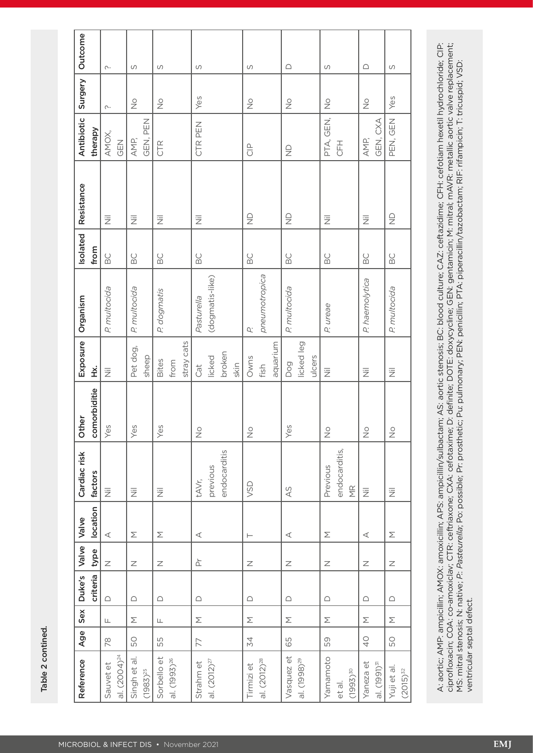Table 2 contined. Table 2 contined.

| Reference                | Age           | Sex           | Duke's     | Valve Valve                                                                                      |                 | Cardiac risk                        | Other                   | Exposure                  | Organism        | Isolated           | Resistance                | Antibiotic                  | Surgery                  | Outcome    |
|--------------------------|---------------|---------------|------------|--------------------------------------------------------------------------------------------------|-----------------|-------------------------------------|-------------------------|---------------------------|-----------------|--------------------|---------------------------|-----------------------------|--------------------------|------------|
|                          |               |               | criteria   | type                                                                                             | location        | factors                             | comorbiditie            | ¥.                        |                 | from               |                           | therapy                     |                          |            |
| Sauvet et                | 78            | $\sqcup$      | $\bigcirc$ | $\overline{z}$                                                                                   | $\triangleleft$ | $\overline{\overline{z}}$           | Yes                     | $\overline{\overline{z}}$ | P. multocida    | BC                 | $\overline{\overline{z}}$ | AMOX,                       | $\curvearrowright$       | $\sim$     |
| al. (2004) <sup>24</sup> |               |               |            |                                                                                                  |                 |                                     |                         |                           |                 |                    |                           | <b>GEN</b>                  |                          |            |
| Singh et al.             | 50            | Σ             | $\bigcap$  | $\mathbb Z$                                                                                      | Σ               | $\overline{\overline{z}}$           | Yes                     | Pet dog,                  | P. multocida    | $_{\odot}^{\circ}$ | $\overline{\overline{z}}$ | AMP,                        | $\stackrel{\circ}{\geq}$ | $\cup$     |
| $(1983)^{25}$            |               |               |            |                                                                                                  |                 |                                     |                         | sheep                     |                 |                    |                           | GEN, PEN                    |                          |            |
| Sorbello et              | 55            | $\frac{1}{2}$ | $\bigcap$  | $\mathsf{Z}% _{0}\left( \mathcal{Z}_{0}\right) ^{2}\mathcal{Z}_{0}\left( \mathcal{Z}_{0}\right)$ | Σ               | 三                                   | Yes                     | Bites                     | P. dogmatis     | $_{\odot}^{\circ}$ | 三                         | CTR                         | $\stackrel{\circ}{\geq}$ | S          |
| al. (1993) <sup>26</sup> |               |               |            |                                                                                                  |                 |                                     |                         | from                      |                 |                    |                           |                             |                          |            |
|                          |               |               |            |                                                                                                  |                 |                                     |                         | stray cats                |                 |                    |                           |                             |                          |            |
| Strahm et                | 77            | Σ             | $\bigcap$  |                                                                                                  | $\triangleleft$ | tAVr,                               | $\overset{\circ}{\geq}$ | Cat                       | Pasturella      | $_{\odot}^{\circ}$ | 三                         | CTR PEN                     | Yes                      | S          |
| al. $(2012)^{27}$        |               |               |            |                                                                                                  |                 | previous                            |                         | licked                    | (dogmatis-like) |                    |                           |                             |                          |            |
|                          |               |               |            |                                                                                                  |                 | endocarditis                        |                         | broken                    |                 |                    |                           |                             |                          |            |
|                          |               |               |            |                                                                                                  |                 |                                     |                         | skin                      |                 |                    |                           |                             |                          |            |
| Tirmizi et               | 34            | Σ             | $\bigcap$  | Ζ                                                                                                | $\vdash$        | VSD                                 | $\frac{0}{2}$           | Owns                      | U.              | BC                 | $\frac{\Omega}{Z}$        | $\frac{\rho}{\overline{C}}$ | $\stackrel{\circ}{\geq}$ | S          |
| al. (2012) <sup>28</sup> |               |               |            |                                                                                                  |                 |                                     |                         | fish                      | pneumotropica   |                    |                           |                             |                          |            |
|                          |               |               |            |                                                                                                  |                 |                                     |                         | aquarium                  |                 |                    |                           |                             |                          |            |
| Vasquez et               | 65            | Σ             | $\bigcap$  | $\overline{z}$                                                                                   | $\prec$         | 45                                  | Yes                     | Dog                       | P. multocida    | BC                 | $\frac{\Omega}{Z}$        | $\frac{\Omega}{Z}$          | $\stackrel{\circ}{\geq}$ | $\bigcap$  |
| al. (1998) <sup>29</sup> |               |               |            |                                                                                                  |                 |                                     |                         | licked leg                |                 |                    |                           |                             |                          |            |
|                          |               |               |            |                                                                                                  |                 |                                     |                         | ulcers                    |                 |                    |                           |                             |                          |            |
| Yamamoto                 | 59            | Σ             | $\bigcap$  | Ζ                                                                                                | Σ               | Previous                            | $\overset{\circ}{\geq}$ | $\overline{\overline{z}}$ | P. ureae        | BC                 | $\overline{\overline{z}}$ | PTA, GEN,                   | $\overset{\circ}{\geq}$  | S          |
| et al.                   |               |               |            |                                                                                                  |                 | endocarditis,                       |                         |                           |                 |                    |                           | <b>HHO</b>                  |                          |            |
| $(1993)^{30}$            |               |               |            |                                                                                                  |                 | $\overline{\underline{\mathsf{K}}}$ |                         |                           |                 |                    |                           |                             |                          |            |
| Yaneza et                | $\frac{1}{2}$ | Σ             | $\bigcap$  | $\mathsf{Z}$                                                                                     | $\triangleleft$ | $\overline{\overline{z}}$           | $\overset{\circ}{\geq}$ | $\overline{\overline{z}}$ | P. haemolytica  | BC                 | $\overline{\overline{z}}$ | AMP,                        | $\stackrel{\circ}{\geq}$ | $\bigcirc$ |
| al. (1991) <sup>31</sup> |               |               |            |                                                                                                  |                 |                                     |                         |                           |                 |                    |                           | GEN, CXA                    |                          |            |
| Yuji et al.              | 50            | Σ             | $\bigcap$  | $\mathsf{Z}$                                                                                     | Σ               | $\overline{\overline{z}}$           | $\frac{0}{2}$           | $\overline{\overline{z}}$ | P. multocida    | $_{\odot}^{\circ}$ | $\frac{\Omega}{Z}$        | PEN, GEN                    | Yes                      | S          |
| $(2015)^{32}$            |               |               |            |                                                                                                  |                 |                                     |                         |                           |                 |                    |                           |                             |                          |            |
|                          |               |               |            |                                                                                                  |                 |                                     |                         |                           |                 |                    |                           |                             |                          |            |

A: aortic; AMP: ampicillin; AMOX: amoxicillin; APS: ampicillin/sulbactam; AS: aortic stenosis; BC: blood culture; CAZ: ceftazidime; CFH: cefotiam hexetil hydrochloride; CIP:<br>ciprofloxacin; COA: co-amoxiclav; CTR: ceftriaxo A: aortic; AMP: ampicillin; AMOX: amoxicillin; APS: ampicillin/sulbactam; AS: aortic stenosis; BC: blood culture; CAZ: ceftazidime; CFH: cefotiam hexetil hydrochloride; CIP: ciprofloxacin; COA: co-amoxiclav; CTR: ceftriaxone; CXA: cefotaxime; D: definite; DOTE: doxycycline; GEN: gentamicin; M: mitral; mAVR: metallic aortic valve replacement; MS: mitral stenosis; N: native; *P.*: *Pasteurella*; Po: possible; Pr: prosthetic; Pu: pulmonary; PEN: penicillin; PTA: piperacillin/tazobactam; RIF: rifampicin; T: tricuspid; VSD: ventricular septal defect.